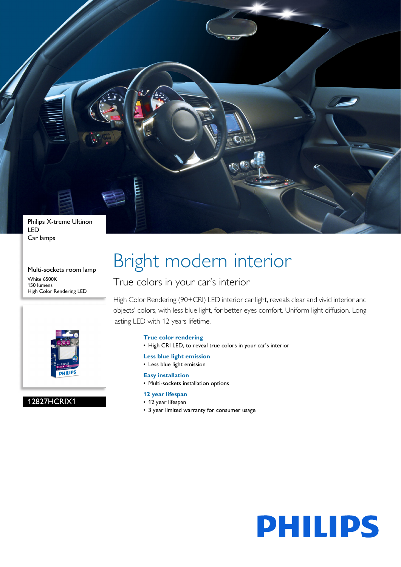

Car lamps

Multi-sockets room lamp White 6500K 150 lumens High Color Rendering LED



12827HCRIX1

# Bright modern interior

## True colors in your car's interior

High Color Rendering (90+CRI) LED interior car light, reveals clear and vivid interior and objects' colors, with less blue light, for better eyes comfort. Uniform light diffusion. Long lasting LED with 12 years lifetime.

## **True color rendering**

- High CRI LED, to reveal true colors in your car's interior
- **Less blue light emission**
- Less blue light emission
- **Easy installation**
- Multi-sockets installation options

## **12 year lifespan**

- 12 year lifespan
- 3 year limited warranty for consumer usage